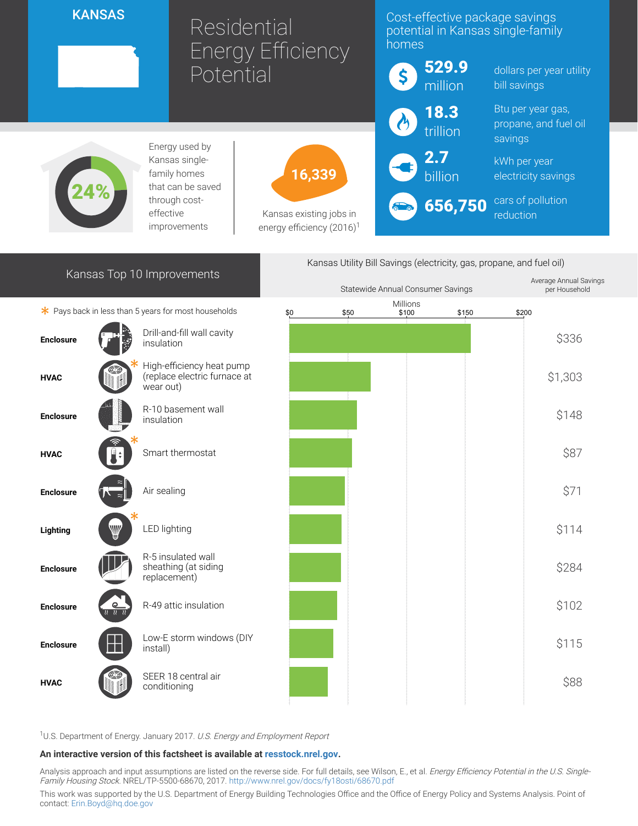## **KANSAS**

# Residential Energy Efficiency Potential

16,339

Kansas existing jobs in energy efficiency  $(2016)^1$ 

### Cost-effective package savings potential in Kansas single-family homes

| 529.9<br>million       |  |
|------------------------|--|
| 18.3                   |  |
| $2.7$<br>billion       |  |
| <mark>ො</mark> 656,750 |  |

dollars per year utility bill savings

Btu per year gas, propane, and fuel oil savings

kWh per year electricity savings

cars of pollution reduction



Energy used by Kansas singlefamily homes that can be saved through costeffective improvements

24%

Kansas Utility Bill Savings (electricity, gas, propane, and fuel oil)



<sup>1</sup>U.S. Department of Energy. January 2017. U.S. Energy and Employment Report

#### An interactive version of this factsheet is available at [resstock.nrel.gov.](https://resstock.nrel.gov/)

Analysis approach and input assumptions are listed on the reverse side. For full details, see Wilson, E., et al. Energy Efficiency Potential in the U.S. SingleFamily Housing Stock. NREL/TP-5500-68670, 2017. <http://www.nrel.gov/docs/fy18osti/68670.pdf>

This work was supported by the U.S. Department of Energy Building Technologies Office and the Office of Energy Policy and Systems Analysis. Point of contact: [Erin.Boyd@hq.doe.gov](mailto:Erin.Boyd@hq.doe.gov)